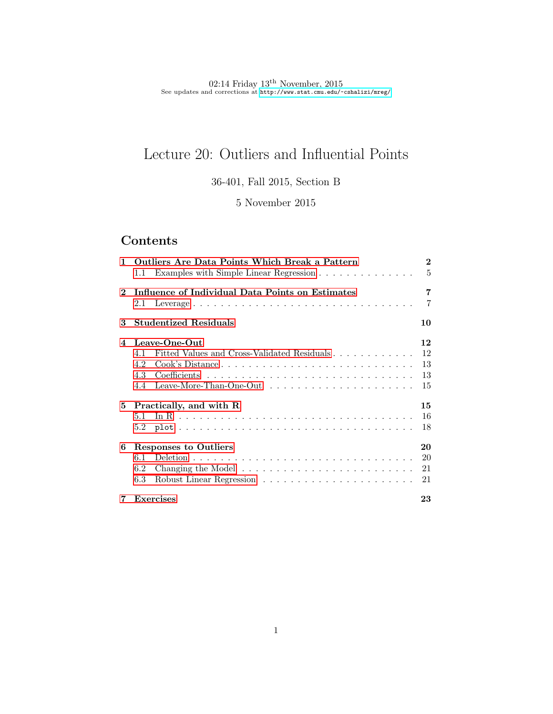02:14 Friday  $13^{\text{th}}$  November, 2015 See updates and corrections at <http://www.stat.cmu.edu/~cshalizi/mreg/>

# Lecture 20: Outliers and Influential Points

36-401, Fall 2015, Section B

5 November 2015

## Contents

|              | 1 Outliers Are Data Points Which Break a Pattern<br>1.1 Examples with Simple Linear Regression      | $\bf{2}$<br>5 |  |  |  |  |  |  |
|--------------|-----------------------------------------------------------------------------------------------------|---------------|--|--|--|--|--|--|
| $\mathbf{2}$ | <b>Influence of Individual Data Points on Estimates</b>                                             | 7<br>7        |  |  |  |  |  |  |
| 3            | <b>Studentized Residuals</b>                                                                        | 10            |  |  |  |  |  |  |
| $\mathbf 4$  | Leave-One-Out                                                                                       |               |  |  |  |  |  |  |
|              | Fitted Values and Cross-Validated Residuals<br>41                                                   | 12            |  |  |  |  |  |  |
|              | 4.2<br>$\mathrm{Cook}$ 's Distance $\ldots \ldots \ldots \ldots \ldots \ldots \ldots \ldots \ldots$ | 13            |  |  |  |  |  |  |
|              |                                                                                                     | 13            |  |  |  |  |  |  |
|              |                                                                                                     | 15            |  |  |  |  |  |  |
| $5^{\circ}$  | Practically, and with R                                                                             |               |  |  |  |  |  |  |
|              |                                                                                                     | 16            |  |  |  |  |  |  |
|              |                                                                                                     | 18            |  |  |  |  |  |  |
| 6            | Responses to Outliers                                                                               |               |  |  |  |  |  |  |
|              | 6.1                                                                                                 | 20            |  |  |  |  |  |  |
|              | 6.2                                                                                                 | 21            |  |  |  |  |  |  |
|              | 6.3                                                                                                 | 21            |  |  |  |  |  |  |
| 7            | <b>Exercises</b>                                                                                    | 23            |  |  |  |  |  |  |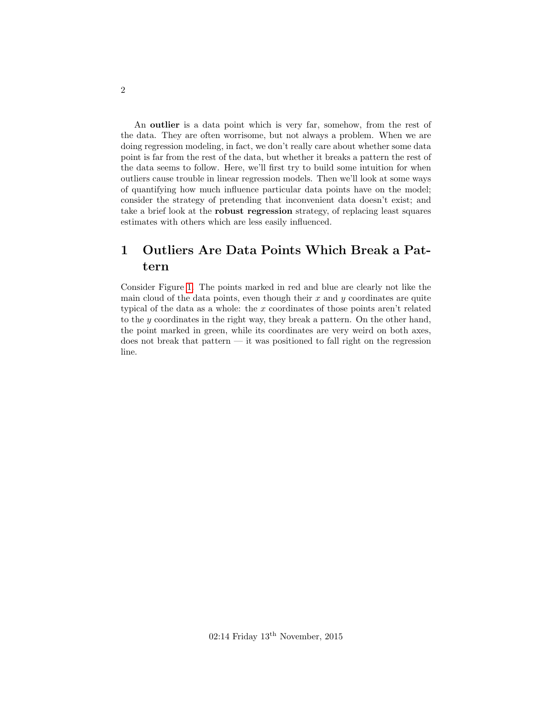An outlier is a data point which is very far, somehow, from the rest of the data. They are often worrisome, but not always a problem. When we are doing regression modeling, in fact, we don't really care about whether some data point is far from the rest of the data, but whether it breaks a pattern the rest of the data seems to follow. Here, we'll first try to build some intuition for when outliers cause trouble in linear regression models. Then we'll look at some ways of quantifying how much influence particular data points have on the model; consider the strategy of pretending that inconvenient data doesn't exist; and take a brief look at the robust regression strategy, of replacing least squares estimates with others which are less easily influenced.

## <span id="page-1-0"></span>1 Outliers Are Data Points Which Break a Pattern

Consider Figure [1.](#page-2-0) The points marked in red and blue are clearly not like the main cloud of the data points, even though their  $x$  and  $y$  coordinates are quite typical of the data as a whole: the x coordinates of those points aren't related to the y coordinates in the right way, they break a pattern. On the other hand, the point marked in green, while its coordinates are very weird on both axes, does not break that pattern — it was positioned to fall right on the regression line.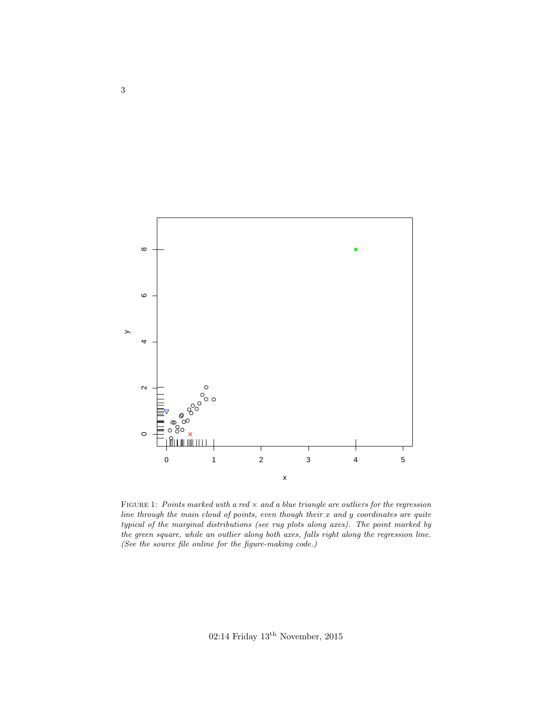<span id="page-2-0"></span>

FIGURE 1: Points marked with a red  $\times$  and a blue triangle are outliers for the regression line through the main cloud of points, even though their x and y coordinates are quite typical of the marginal distributions (see rug plots along axes). The point marked by the green square, while an outlier along both axes, falls right along the regression line. (See the source file online for the figure-making code.)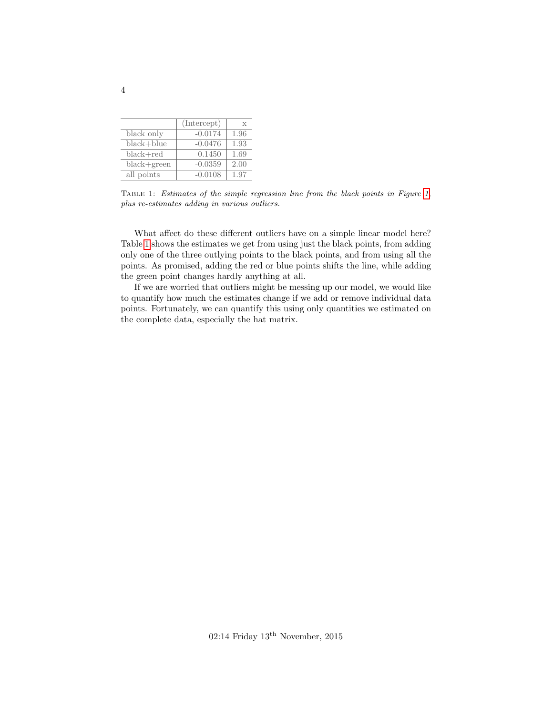<span id="page-3-0"></span>

|                 | (Intercept) | X    |
|-----------------|-------------|------|
| black only      | $-0.0174$   | 1.96 |
| $black + blue$  | $-0.0476$   | 1.93 |
| $black + red$   | 0.1450      | 1.69 |
| $black + green$ | $-0.0359$   | 2.00 |
| all points      | $-0.0108$   | 1.97 |

Table 1: Estimates of the simple regression line from the black points in Figure [1,](#page-2-0) plus re-estimates adding in various outliers.

What affect do these different outliers have on a simple linear model here? Table [1](#page-3-0) shows the estimates we get from using just the black points, from adding only one of the three outlying points to the black points, and from using all the points. As promised, adding the red or blue points shifts the line, while adding the green point changes hardly anything at all.

If we are worried that outliers might be messing up our model, we would like to quantify how much the estimates change if we add or remove individual data points. Fortunately, we can quantify this using only quantities we estimated on the complete data, especially the hat matrix.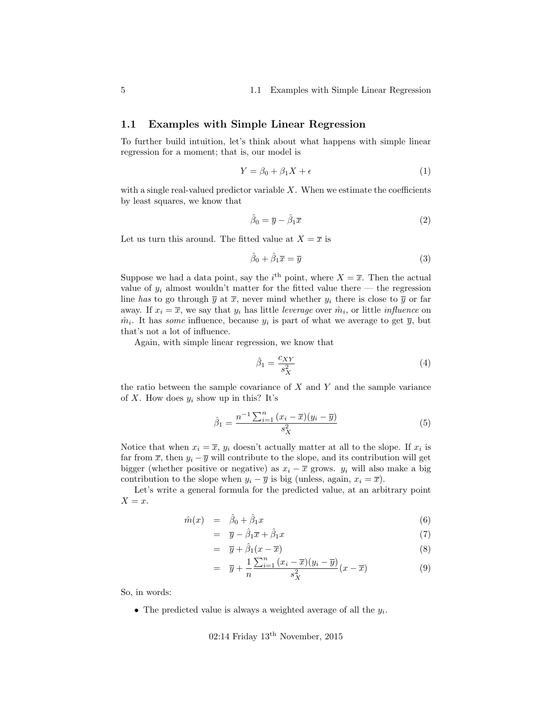### <span id="page-4-0"></span>1.1 Examples with Simple Linear Regression

To further build intuition, let's think about what happens with simple linear regression for a moment; that is, our model is

$$
Y = \beta_0 + \beta_1 X + \epsilon \tag{1}
$$

with a single real-valued predictor variable  $X$ . When we estimate the coefficients by least squares, we know that

$$
\hat{\beta}_0 = \overline{y} - \hat{\beta}_1 \overline{x} \tag{2}
$$

Let us turn this around. The fitted value at  $X = \overline{x}$  is

$$
\hat{\beta}_0 + \hat{\beta}_1 \overline{x} = \overline{y} \tag{3}
$$

Suppose we had a data point, say the *i*<sup>th</sup> point, where  $X = \overline{x}$ . Then the actual value of  $y_i$  almost wouldn't matter for the fitted value there — the regression line has to go through  $\bar{y}$  at  $\bar{x}$ , never mind whether  $y_i$  there is close to  $\bar{y}$  or far away. If  $x_i = \overline{x}$ , we say that  $y_i$  has little *leverage* over  $\hat{m}_i$ , or little *influence* on  $\hat{m}_i$ . It has some influence, because  $y_i$  is part of what we average to get  $\bar{y}$ , but that's not a lot of influence.

Again, with simple linear regression, we know that

$$
\hat{\beta}_1 = \frac{c_{XY}}{s_X^2} \tag{4}
$$

the ratio between the sample covariance of  $X$  and  $Y$  and the sample variance of X. How does  $y_i$  show up in this? It's

$$
\hat{\beta}_1 = \frac{n^{-1} \sum_{i=1}^n (x_i - \overline{x})(y_i - \overline{y})}{s_X^2}
$$
\n(5)

Notice that when  $x_i = \overline{x}$ ,  $y_i$  doesn't actually matter at all to the slope. If  $x_i$  is far from  $\overline{x}$ , then  $y_i - \overline{y}$  will contribute to the slope, and its contribution will get bigger (whether positive or negative) as  $x_i - \overline{x}$  grows.  $y_i$  will also make a big contribution to the slope when  $y_i - \overline{y}$  is big (unless, again,  $x_i = \overline{x}$ ).

Let's write a general formula for the predicted value, at an arbitrary point  $X = x$ .

$$
\hat{m}(x) = \hat{\beta}_0 + \hat{\beta}_1 x \tag{6}
$$

$$
= \overline{y} - \hat{\beta}_1 \overline{x} + \hat{\beta}_1 x \tag{7}
$$

$$
= \overline{y} + \hat{\beta}_1(x - \overline{x}) \tag{8}
$$

$$
= \overline{y} + \frac{1}{n} \frac{\sum_{i=1}^{n} (x_i - \overline{x})(y_i - \overline{y})}{s_X^2} (x - \overline{x}) \tag{9}
$$

So, in words:

• The predicted value is always a weighted average of all the  $y_i$ .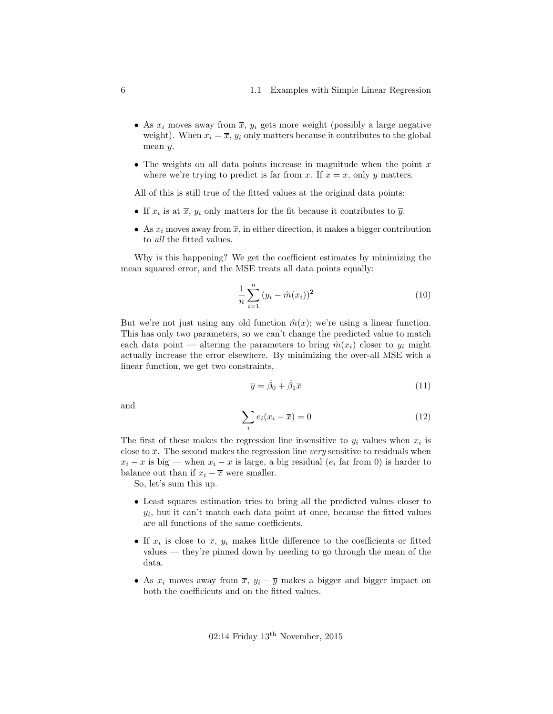- As  $x_i$  moves away from  $\overline{x}$ ,  $y_i$  gets more weight (possibly a large negative weight). When  $x_i = \overline{x}$ ,  $y_i$  only matters because it contributes to the global mean  $\overline{y}$ .
- The weights on all data points increase in magnitude when the point  $x$ where we're trying to predict is far from  $\overline{x}$ . If  $x = \overline{x}$ , only  $\overline{y}$  matters.

All of this is still true of the fitted values at the original data points:

- If  $x_i$  is at  $\overline{x}$ ,  $y_i$  only matters for the fit because it contributes to  $\overline{y}$ .
- As  $x_i$  moves away from  $\overline{x}$ , in either direction, it makes a bigger contribution to *all* the fitted values.

Why is this happening? We get the coefficient estimates by minimizing the mean squared error, and the MSE treats all data points equally:

$$
\frac{1}{n}\sum_{i=1}^{n}(y_i - \hat{m}(x_i))^2
$$
\n(10)

But we're not just using any old function  $\hat{m}(x)$ ; we're using a linear function. This has only two parameters, so we can't change the predicted value to match each data point — altering the parameters to bring  $\hat{m}(x_i)$  closer to  $y_i$  might actually increase the error elsewhere. By minimizing the over-all MSE with a linear function, we get two constraints,

$$
\overline{y} = \hat{\beta}_0 + \hat{\beta}_1 \overline{x} \tag{11}
$$

and

$$
\sum_{i} e_i (x_i - \overline{x}) = 0 \tag{12}
$$

The first of these makes the regression line insensitive to  $y_i$  values when  $x_i$  is close to  $\bar{x}$ . The second makes the regression line very sensitive to residuals when  $x_i - \overline{x}$  is big — when  $x_i - \overline{x}$  is large, a big residual ( $e_i$  far from 0) is harder to balance out than if  $x_i - \overline{x}$  were smaller.

So, let's sum this up.

- Least squares estimation tries to bring all the predicted values closer to  $y_i$ , but it can't match each data point at once, because the fitted values are all functions of the same coefficients.
- If  $x_i$  is close to  $\overline{x}$ ,  $y_i$  makes little difference to the coefficients or fitted values — they're pinned down by needing to go through the mean of the data.
- As  $x_i$  moves away from  $\overline{x}$ ,  $y_i \overline{y}$  makes a bigger and bigger impact on both the coefficients and on the fitted values.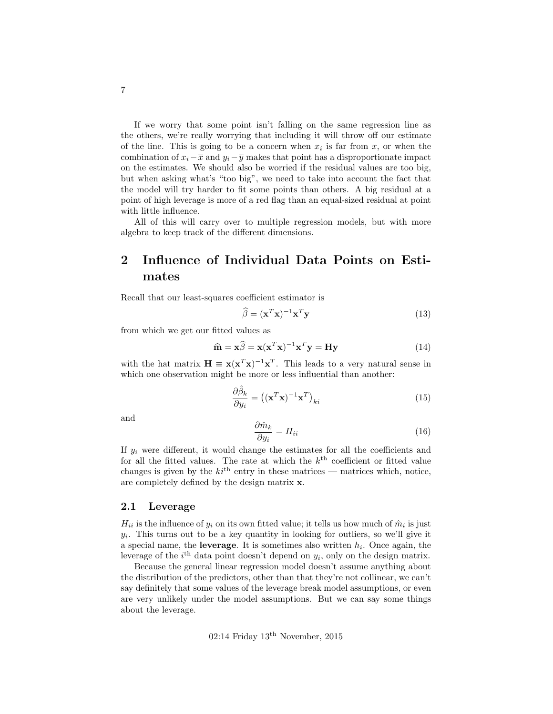If we worry that some point isn't falling on the same regression line as the others, we're really worrying that including it will throw off our estimate of the line. This is going to be a concern when  $x_i$  is far from  $\overline{x}$ , or when the combination of  $x_i-\overline{x}$  and  $y_i-\overline{y}$  makes that point has a disproportionate impact on the estimates. We should also be worried if the residual values are too big, but when asking what's "too big", we need to take into account the fact that the model will try harder to fit some points than others. A big residual at a point of high leverage is more of a red flag than an equal-sized residual at point with little influence.

All of this will carry over to multiple regression models, but with more algebra to keep track of the different dimensions.

## <span id="page-6-0"></span>2 Influence of Individual Data Points on Estimates

Recall that our least-squares coefficient estimator is

$$
\widehat{\beta} = (\mathbf{x}^T \mathbf{x})^{-1} \mathbf{x}^T \mathbf{y}
$$
\n(13)

from which we get our fitted values as

$$
\widehat{\mathbf{m}} = \mathbf{x}\widehat{\beta} = \mathbf{x}(\mathbf{x}^T\mathbf{x})^{-1}\mathbf{x}^T\mathbf{y} = \mathbf{H}\mathbf{y}
$$
 (14)

with the hat matrix  $\mathbf{H} \equiv \mathbf{x}(\mathbf{x}^T \mathbf{x})^{-1} \mathbf{x}^T$ . This leads to a very natural sense in which one observation might be more or less influential than another:

$$
\frac{\partial \hat{\beta}_k}{\partial y_i} = \left( (\mathbf{x}^T \mathbf{x})^{-1} \mathbf{x}^T \right)_{ki} \tag{15}
$$

and

$$
\frac{\partial \hat{m}_k}{\partial y_i} = H_{ii} \tag{16}
$$

If  $y_i$  were different, it would change the estimates for all the coefficients and for all the fitted values. The rate at which the  $k^{\text{th}}$  coefficient or fitted value changes is given by the  $ki^{\text{th}}$  entry in these matrices — matrices which, notice, are completely defined by the design matrix x.

#### <span id="page-6-1"></span>2.1 Leverage

 $H_{ii}$  is the influence of  $y_i$  on its own fitted value; it tells us how much of  $\hat{m}_i$  is just  $y_i$ . This turns out to be a key quantity in looking for outliers, so we'll give it a special name, the **leverage**. It is sometimes also written  $h_i$ . Once again, the leverage of the  $i<sup>th</sup>$  data point doesn't depend on  $y<sub>i</sub>$ , only on the design matrix.

Because the general linear regression model doesn't assume anything about the distribution of the predictors, other than that they're not collinear, we can't say definitely that some values of the leverage break model assumptions, or even are very unlikely under the model assumptions. But we can say some things about the leverage.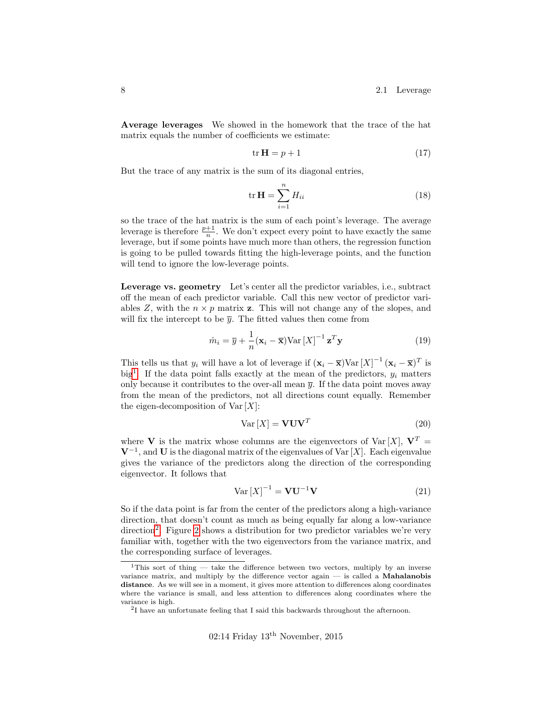Average leverages We showed in the homework that the trace of the hat matrix equals the number of coefficients we estimate:

$$
\operatorname{tr} \mathbf{H} = p + 1 \tag{17}
$$

But the trace of any matrix is the sum of its diagonal entries,

$$
\operatorname{tr} \mathbf{H} = \sum_{i=1}^{n} H_{ii}
$$
 (18)

so the trace of the hat matrix is the sum of each point's leverage. The average leverage is therefore  $\frac{p+1}{n}$ . We don't expect every point to have exactly the same leverage, but if some points have much more than others, the regression function is going to be pulled towards fitting the high-leverage points, and the function will tend to ignore the low-leverage points.

Leverage vs. geometry Let's center all the predictor variables, i.e., subtract off the mean of each predictor variable. Call this new vector of predictor variables Z, with the  $n \times p$  matrix z. This will not change any of the slopes, and will fix the intercept to be  $\bar{y}$ . The fitted values then come from

$$
\hat{m}_i = \overline{y} + \frac{1}{n} (\mathbf{x}_i - \overline{\mathbf{x}}) \text{Var}\left[X\right]^{-1} \mathbf{z}^T \mathbf{y}
$$
\n(19)

This tells us that  $y_i$  will have a lot of leverage if  $(\mathbf{x}_i - \overline{\mathbf{x}}) \text{Var}[X]^{-1} (\mathbf{x}_i - \overline{\mathbf{x}})^T$  is big<sup>[1](#page-7-0)</sup>. If the data point falls exactly at the mean of the predictors,  $y_i$  matters only because it contributes to the over-all mean  $\overline{y}$ . If the data point moves away from the mean of the predictors, not all directions count equally. Remember the eigen-decomposition of  $Var[X]$ :

$$
Var[X] = VUV^T
$$
 (20)

where **V** is the matrix whose columns are the eigenvectors of Var [X],  $V^T$  =  $V^{-1}$ , and U is the diagonal matrix of the eigenvalues of Var [X]. Each eigenvalue gives the variance of the predictors along the direction of the corresponding eigenvector. It follows that

$$
\text{Var}\left[X\right]^{-1} = \mathbf{V}\mathbf{U}^{-1}\mathbf{V} \tag{21}
$$

So if the data point is far from the center of the predictors along a high-variance direction, that doesn't count as much as being equally far along a low-variance direction<sup>[2](#page-7-1)</sup>. Figure [2](#page-8-0) shows a distribution for two predictor variables we're very familiar with, together with the two eigenvectors from the variance matrix, and the corresponding surface of leverages.

<span id="page-7-0"></span><sup>&</sup>lt;sup>1</sup>This sort of thing — take the difference between two vectors, multiply by an inverse variance matrix, and multiply by the difference vector again — is called a Mahalanobis distance. As we will see in a moment, it gives more attention to differences along coordinates where the variance is small, and less attention to differences along coordinates where the variance is high.

<span id="page-7-1"></span><sup>&</sup>lt;sup>2</sup>I have an unfortunate feeling that I said this backwards throughout the afternoon.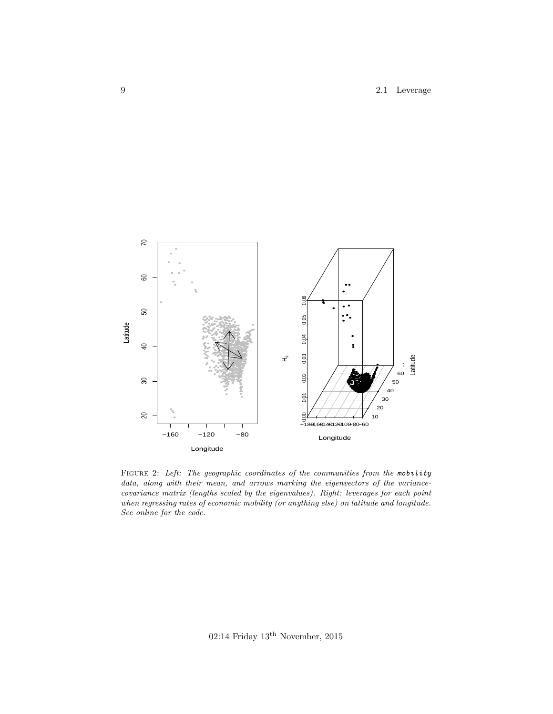<span id="page-8-0"></span>

FIGURE 2: Left: The geographic coordinates of the communities from the mobility data, along with their mean, and arrows marking the eigenvectors of the variancecovariance matrix (lengths scaled by the eigenvalues). Right: leverages for each point  $when \ regressing \ rates \ of \ economic \ mobility \ (or \ anything \ else) \ on \ latitude \ and \ longitude.$ See online for the code.

02:14 Friday  $13^{\rm th}$  November, 2015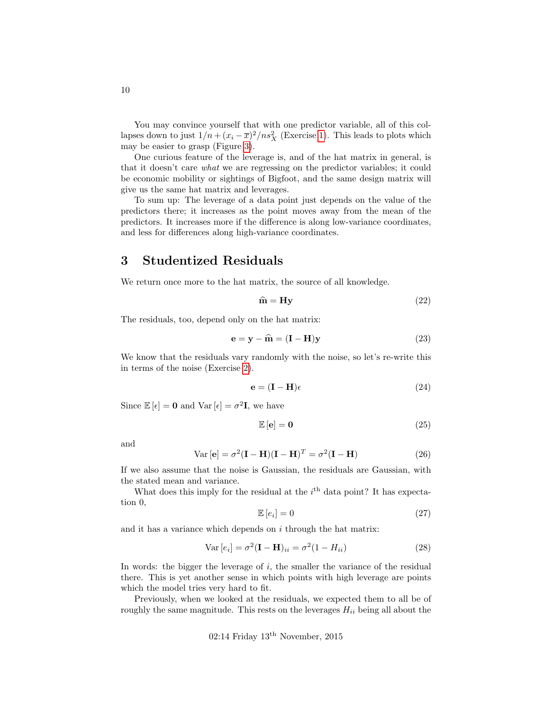You may convince yourself that with one predictor variable, all of this collapses down to just  $1/n + (x_i - \overline{x})^2/n s_X^2$  (Exercise [1\)](#page-22-1). This leads to plots which may be easier to grasp (Figure [3\)](#page-10-0).

One curious feature of the leverage is, and of the hat matrix in general, is that it doesn't care what we are regressing on the predictor variables; it could be economic mobility or sightings of Bigfoot, and the same design matrix will give us the same hat matrix and leverages.

To sum up: The leverage of a data point just depends on the value of the predictors there; it increases as the point moves away from the mean of the predictors. It increases more if the difference is along low-variance coordinates, and less for differences along high-variance coordinates.

## <span id="page-9-0"></span>3 Studentized Residuals

We return once more to the hat matrix, the source of all knowledge.

$$
\hat{\mathbf{m}} = \mathbf{H}\mathbf{y} \tag{22}
$$

The residuals, too, depend only on the hat matrix:

$$
\mathbf{e} = \mathbf{y} - \hat{\mathbf{m}} = (\mathbf{I} - \mathbf{H})\mathbf{y}
$$
 (23)

We know that the residuals vary randomly with the noise, so let's re-write this in terms of the noise (Exercise [2\)](#page-22-2).

$$
\mathbf{e} = (\mathbf{I} - \mathbf{H})\epsilon \tag{24}
$$

Since  $\mathbb{E}[\epsilon] = \mathbf{0}$  and  $\text{Var}[\epsilon] = \sigma^2 \mathbf{I}$ , we have

$$
\mathbb{E}\left[\mathbf{e}\right] = \mathbf{0} \tag{25}
$$

and

$$
Var[e] = \sigma^2 (\mathbf{I} - \mathbf{H})(\mathbf{I} - \mathbf{H})^T = \sigma^2 (\mathbf{I} - \mathbf{H})
$$
\n(26)

If we also assume that the noise is Gaussian, the residuals are Gaussian, with the stated mean and variance.

What does this imply for the residual at the  $i<sup>th</sup>$  data point? It has expectation 0,

$$
\mathbb{E}\left[e_i\right] = 0\tag{27}
$$

and it has a variance which depends on  $i$  through the hat matrix:

$$
\text{Var}\left[e_i\right] = \sigma^2 (\mathbf{I} - \mathbf{H})_{ii} = \sigma^2 (1 - H_{ii}) \tag{28}
$$

In words: the bigger the leverage of  $i$ , the smaller the variance of the residual there. This is yet another sense in which points with high leverage are points which the model tries very hard to fit.

Previously, when we looked at the residuals, we expected them to all be of roughly the same magnitude. This rests on the leverages  $H_{ii}$  being all about the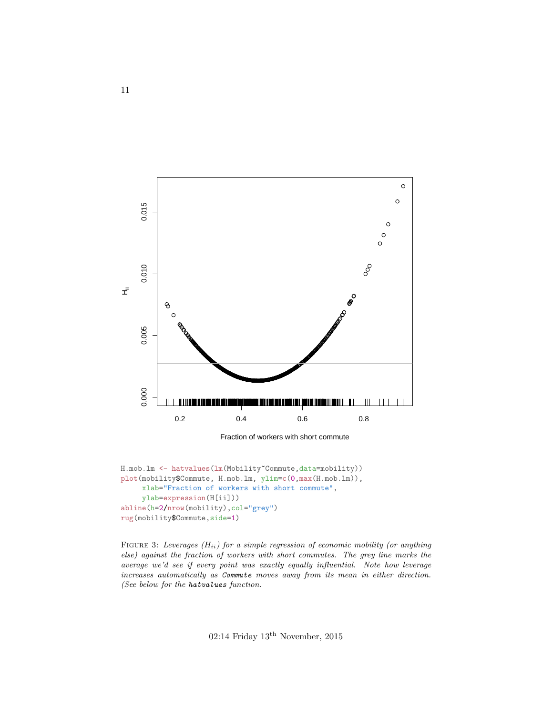<span id="page-10-0"></span>

```
H.mob.lm <- hatvalues(lm(Mobility~Commute,data=mobility))
plot(mobility$Commute, H.mob.lm, ylim=c(0,max(H.mob.lm)),
     xlab="Fraction of workers with short commute",
     ylab=expression(H[ii]))
abline(h=2/nrow(mobility),col="grey")
rug(mobility$Commute,side=1)
```
FIGURE 3: Leverages  $(H_{ii})$  for a simple regression of economic mobility (or anything else) against the fraction of workers with short commutes. The grey line marks the average we'd see if every point was exactly equally influential. Note how leverage increases automatically as Commute moves away from its mean in either direction. (See below for the hatvalues function.

02:14 Friday 13th November, 2015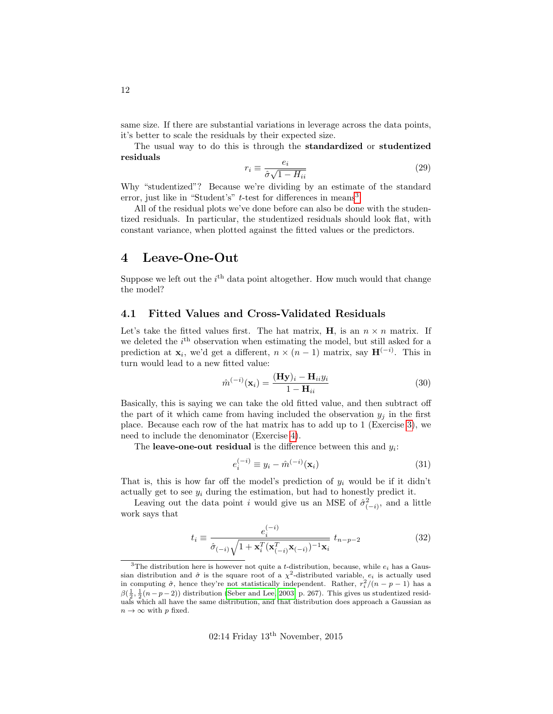same size. If there are substantial variations in leverage across the data points, it's better to scale the residuals by their expected size.

The usual way to do this is through the standardized or studentized residuals

$$
r_i \equiv \frac{e_i}{\hat{\sigma}\sqrt{1 - H_{ii}}}
$$
\n(29)

Why "studentized"? Because we're dividing by an estimate of the standard error, just like in "Student's"  $t$ -test for differences in means<sup>[3](#page-11-2)</sup>

All of the residual plots we've done before can also be done with the studentized residuals. In particular, the studentized residuals should look flat, with constant variance, when plotted against the fitted values or the predictors.

## <span id="page-11-0"></span>4 Leave-One-Out

Suppose we left out the  $i<sup>th</sup>$  data point altogether. How much would that change the model?

#### <span id="page-11-1"></span>4.1 Fitted Values and Cross-Validated Residuals

Let's take the fitted values first. The hat matrix, **H**, is an  $n \times n$  matrix. If we deleted the  $i<sup>th</sup>$  observation when estimating the model, but still asked for a prediction at  $\mathbf{x}_i$ , we'd get a different,  $n \times (n-1)$  matrix, say  $\mathbf{H}^{(-i)}$ . This in turn would lead to a new fitted value:

<span id="page-11-3"></span>
$$
\hat{m}^{(-i)}(\mathbf{x}_i) = \frac{(\mathbf{H}\mathbf{y})_i - \mathbf{H}_{ii} y_i}{1 - \mathbf{H}_{ii}}
$$
\n(30)

Basically, this is saying we can take the old fitted value, and then subtract off the part of it which came from having included the observation  $y_j$  in the first place. Because each row of the hat matrix has to add up to 1 (Exercise [3\)](#page-22-3), we need to include the denominator (Exercise [4\)](#page-23-0).

The leave-one-out residual is the difference between this and  $y_i$ :

$$
e_i^{(-i)} \equiv y_i - \hat{m}^{(-i)}(\mathbf{x}_i)
$$
\n(31)

That is, this is how far off the model's prediction of  $y_i$  would be if it didn't actually get to see  $y_i$  during the estimation, but had to honestly predict it.

Leaving out the data point i would give us an MSE of  $\hat{\sigma}_{(-i)}^2$ , and a little work says that

$$
t_i \equiv \frac{e_i^{(-i)}}{\hat{\sigma}_{(-i)}\sqrt{1 + \mathbf{x}_i^T(\mathbf{x}_{(-i)}^T\mathbf{x}_{(-i)})^{-1}\mathbf{x}_i}} \ t_{n-p-2}
$$
(32)

<span id="page-11-2"></span><sup>&</sup>lt;sup>3</sup>The distribution here is however not quite a *t*-distribution, because, while  $e_i$  has a Gaussian distribution and  $\hat{\sigma}$  is the square root of a  $\chi^2$ -distributed variable,  $e_i$  is actually used in computing  $\hat{\sigma}$ , hence they're not statistically independent. Rather,  $r_i^2/(n-p-1)$  has a  $\beta(\frac{1}{2}, \frac{1}{2}(n-p-2))$  distribution [\(Seber and Lee, 2003,](#page-23-1) p. 267). This gives us studentized residuals which all have the same distribution, and that distribution does approach a Gaussian as  $n \to \infty$  with p fixed.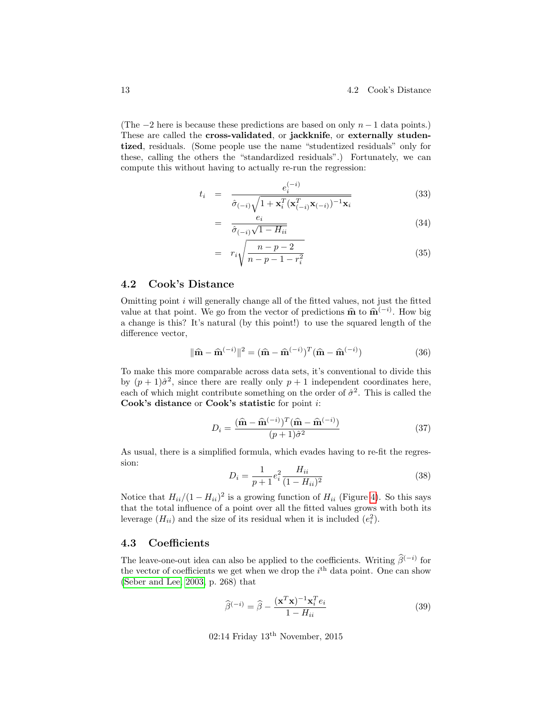(The  $-2$  here is because these predictions are based on only  $n-1$  data points.) These are called the cross-validated, or jackknife, or externally studentized, residuals. (Some people use the name "studentized residuals" only for these, calling the others the "standardized residuals".) Fortunately, we can compute this without having to actually re-run the regression:

$$
t_i = \frac{e_i^{(-i)}}{\hat{\sigma}_{(-i)} \sqrt{1 + \mathbf{x}_i^T (\mathbf{x}_{(-i)}^T \mathbf{x}_{(-i)})^{-1} \mathbf{x}_i}}
$$
(33)

$$
= \frac{e_i}{\hat{\sigma}_{(-i)}\sqrt{1 - H_{ii}}}
$$
\n(34)

$$
= r_i \sqrt{\frac{n-p-2}{n-p-1-r_i^2}}
$$
 (35)

#### <span id="page-12-0"></span>4.2 Cook's Distance

Omitting point  $i$  will generally change all of the fitted values, not just the fitted value at that point. We go from the vector of predictions  $\hat{\mathbf{m}}$  to  $\hat{\mathbf{m}}^{(-i)}$ . How big a change is this? It's natural (by this point!) to use the squared length of the difference vector,

$$
\|\widehat{\mathbf{m}} - \widehat{\mathbf{m}}^{(-i)}\|^2 = (\widehat{\mathbf{m}} - \widehat{\mathbf{m}}^{(-i)})^T (\widehat{\mathbf{m}} - \widehat{\mathbf{m}}^{(-i)})
$$
(36)

To make this more comparable across data sets, it's conventional to divide this by  $(p+1)\hat{\sigma}^2$ , since there are really only  $p+1$  independent coordinates here, each of which might contribute something on the order of  $\hat{\sigma}^2$ . This is called the Cook's distance or Cook's statistic for point i:

$$
D_i = \frac{(\hat{\mathbf{m}} - \hat{\mathbf{m}}^{(-i)})^T (\hat{\mathbf{m}} - \hat{\mathbf{m}}^{(-i)})}{(p+1)\hat{\sigma}^2}
$$
(37)

As usual, there is a simplified formula, which evades having to re-fit the regression:

<span id="page-12-2"></span>
$$
D_i = \frac{1}{p+1} e_i^2 \frac{H_{ii}}{(1 - H_{ii})^2}
$$
 (38)

Notice that  $H_{ii}/(1 - H_{ii})^2$  is a growing function of  $H_{ii}$  (Figure [4\)](#page-13-0). So this says that the total influence of a point over all the fitted values grows with both its leverage  $(H_{ii})$  and the size of its residual when it is included  $(e_i^2)$ .

#### <span id="page-12-1"></span>4.3 Coefficients

The leave-one-out idea can also be applied to the coefficients. Writing  $\hat{\beta}^{(-i)}$  for the vector of coefficients we get when we drop the  $i<sup>th</sup>$  data point. One can show [\(Seber and Lee, 2003,](#page-23-1) p. 268) that

$$
\widehat{\beta}^{(-i)} = \widehat{\beta} - \frac{(\mathbf{x}^T \mathbf{x})^{-1} \mathbf{x}_i^T e_i}{1 - H_{ii}} \tag{39}
$$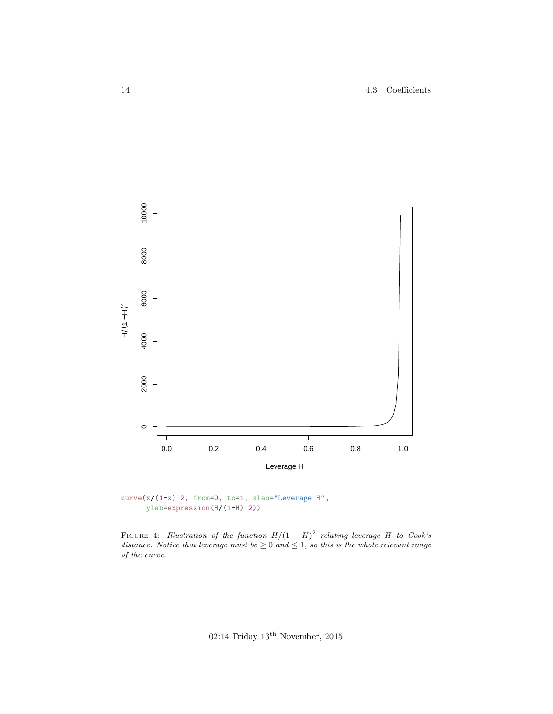<span id="page-13-0"></span>

curve $(x/(1-x)^2)$ , from=0, to=1, xlab="Leverage H", ylab=expression(H/(1-H)^2))

FIGURE 4: Illustration of the function  $H/(1-H)^2$  relating leverage H to Cook's distance. Notice that leverage must be  $\geq 0$  and  $\leq 1$ , so this is the whole relevant range of the curve.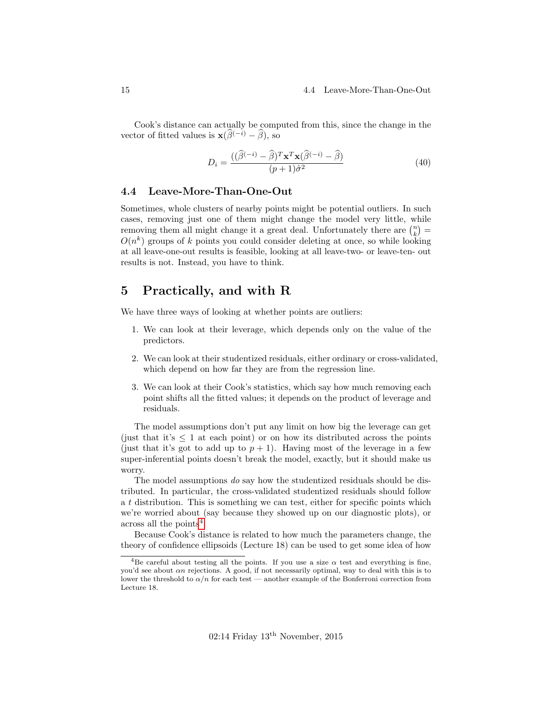#### 15 4.4 Leave-More-Than-One-Out

Cook's distance can actually be computed from this, since the change in the vector of fitted values is  $\mathbf{x}(\widehat{\beta}^{(-i)} - \widehat{\beta})$ , so

<span id="page-14-3"></span>
$$
D_i = \frac{((\widehat{\beta}^{(-i)} - \widehat{\beta})^T \mathbf{x}^T \mathbf{x} (\widehat{\beta}^{(-i)} - \widehat{\beta})}{(p+1)\widehat{\sigma}^2}
$$
(40)

#### <span id="page-14-0"></span>4.4 Leave-More-Than-One-Out

Sometimes, whole clusters of nearby points might be potential outliers. In such cases, removing just one of them might change the model very little, while removing them all might change it a great deal. Unfortunately there are  $\binom{n}{k}$  =  $O(n^k)$  groups of k points you could consider deleting at once, so while looking at all leave-one-out results is feasible, looking at all leave-two- or leave-ten- out results is not. Instead, you have to think.

## <span id="page-14-1"></span>5 Practically, and with R

We have three ways of looking at whether points are outliers:

- 1. We can look at their leverage, which depends only on the value of the predictors.
- 2. We can look at their studentized residuals, either ordinary or cross-validated, which depend on how far they are from the regression line.
- 3. We can look at their Cook's statistics, which say how much removing each point shifts all the fitted values; it depends on the product of leverage and residuals.

The model assumptions don't put any limit on how big the leverage can get (just that it's  $\leq 1$  at each point) or on how its distributed across the points (just that it's got to add up to  $p + 1$ ). Having most of the leverage in a few super-inferential points doesn't break the model, exactly, but it should make us worry.

The model assumptions do say how the studentized residuals should be distributed. In particular, the cross-validated studentized residuals should follow a t distribution. This is something we can test, either for specific points which we're worried about (say because they showed up on our diagnostic plots), or  $\arccos$  all the points<sup>[4](#page-14-2)</sup>.

Because Cook's distance is related to how much the parameters change, the theory of confidence ellipsoids (Lecture 18) can be used to get some idea of how

<span id="page-14-2"></span><sup>&</sup>lt;sup>4</sup>Be careful about testing all the points. If you use a size  $\alpha$  test and everything is fine, you'd see about  $\alpha n$  rejections. A good, if not necessarily optimal, way to deal with this is to lower the threshold to  $\alpha/n$  for each test — another example of the Bonferroni correction from Lecture 18.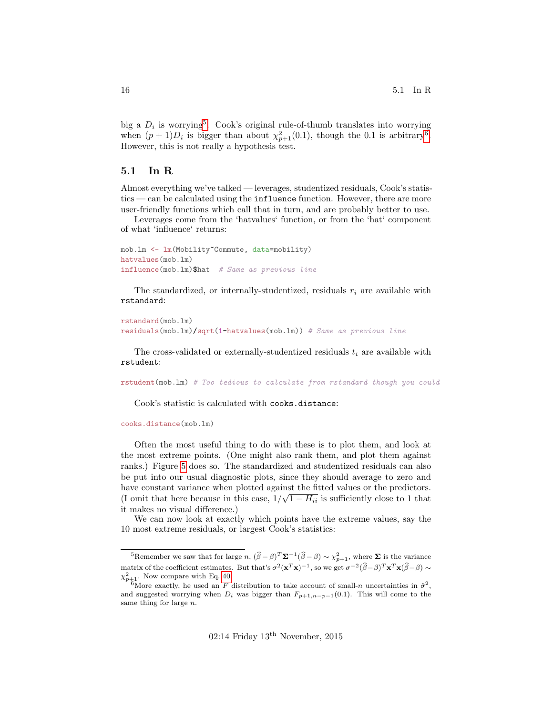big a  $D_i$  is worrying<sup>[5](#page-15-1)</sup>. Cook's original rule-of-thumb translates into worrying when  $(p+1)D_i$  is bigger than about  $\chi^2_{p+1}(0.1)$ , though the 0.1 is arbitrary<sup>[6](#page-15-2)</sup>. However, this is not really a hypothesis test.

#### <span id="page-15-0"></span>5.1 In R

Almost everything we've talked — leverages, studentized residuals, Cook's statistics — can be calculated using the influence function. However, there are more user-friendly functions which call that in turn, and are probably better to use.

Leverages come from the 'hatvalues' function, or from the 'hat' component of what 'influence' returns:

```
mob.lm <- lm(Mobility~Commute, data=mobility)
hatvalues(mob.lm)
influence(mob.lm)$hat # Same as previous line
```
The standardized, or internally-studentized, residuals  $r_i$  are available with rstandard:

```
rstandard(mob.lm)
residuals(mob.lm)/sqrt(1-hatvalues(mob.lm)) # Same as previous line
```
The cross-validated or externally-studentized residuals  $t_i$  are available with rstudent:

rstudent(mob.lm) # Too tedious to calculate from rstandard though you could

Cook's statistic is calculated with cooks.distance:

cooks.distance(mob.lm)

Often the most useful thing to do with these is to plot them, and look at the most extreme points. (One might also rank them, and plot them against ranks.) Figure [5](#page-16-0) does so. The standardized and studentized residuals can also be put into our usual diagnostic plots, since they should average to zero and have constant variance when plotted against the fitted values or the predictors. (I omit that here because in this case,  $1/\sqrt{1-H_{ii}}$  is sufficiently close to 1 that it makes no visual difference.)

We can now look at exactly which points have the extreme values, say the 10 most extreme residuals, or largest Cook's statistics:

<span id="page-15-1"></span><sup>&</sup>lt;sup>5</sup>Remember we saw that for large  $n$ ,  $(\widehat{\beta} - \beta)^T \Sigma^{-1} (\widehat{\beta} - \beta) \sim \chi^2_{p+1}$ , where  $\Sigma$  is the variance matrix of the coefficient estimates. But that's  $\sigma^2(\mathbf{x}^T\mathbf{x})^{-1}$ , so we get  $\sigma^{-2}(\widehat{\beta}-\beta)^T\mathbf{x}^T\mathbf{x}(\widehat{\beta}-\beta) \sim$  $\chi_{p+1}^2$ . Now compare with Eq. [40.](#page-14-3)

<span id="page-15-2"></span><sup>&</sup>lt;sup>6</sup>More exactly, he used an F distribution to take account of small-n uncertainties in  $\hat{\sigma}^2$ , and suggested worrying when  $D_i$  was bigger than  $F_{p+1,n-p-1}(0.1)$ . This will come to the same thing for large n.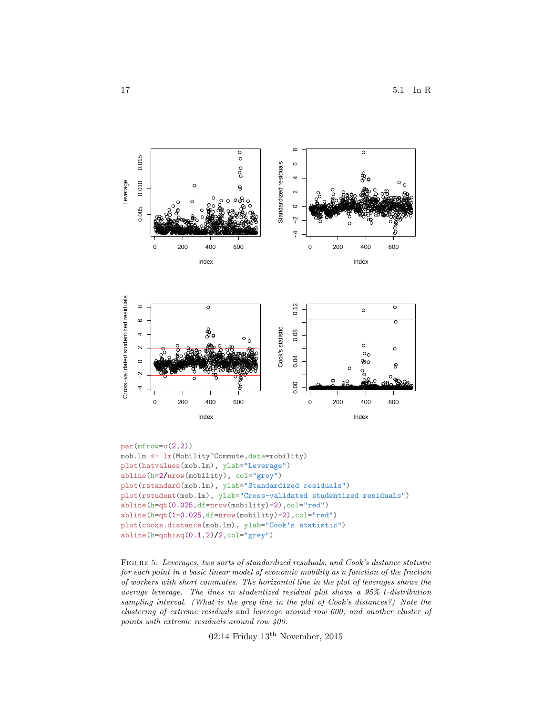<span id="page-16-0"></span>

```
plot(hatvalues(mob.lm), ylab="Leverage")
abline(h=2/nrow(mobility), col="grey")
plot(rstandard(mob.lm), ylab="Standardized residuals")
plot(rstudent(mob.lm), ylab="Cross-validated studentized residuals")
abline(h=qt(0.025,df=nrow(mobility)-2),col="red")
abline(h=qt(1-0.025,df=nrow(mobility)-2),col="red")
plot(cooks.distance(mob.lm), ylab="Cook's statistic")
abline(h=qchisq(0.1,2)/2,col="grey")
```
Figure 5: Leverages, two sorts of standardized residuals, and Cook's distance statistic for each point in a basic linear model of economic mobility as a function of the fraction of workers with short commutes. The horizontal line in the plot of leverages shows the average leverage. The lines in studentized residual plot shows a 95% t-distribution sampling interval. (What is the grey line in the plot of Cook's distances?) Note the clustering of extreme residuals and leverage around row 600, and another cluster of points with extreme residuals around row 400.

02:14 Friday 13th November, 2015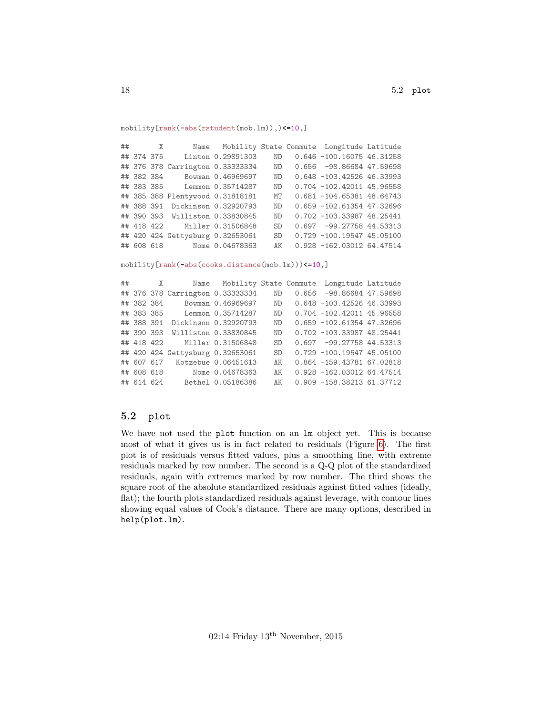mobility[rank(-abs(rstudent(mob.lm)),)<=10,]

|  | $\#$ # X |                                  |                | Name Mobility State Commute Longitude Latitude |  |
|--|----------|----------------------------------|----------------|------------------------------------------------|--|
|  |          | ## 374 375 Linton 0.29891303     | <b>ND</b>      | 0.646 -100.16075 46.31258                      |  |
|  |          | ## 376 378 Carrington 0.33333334 | <b>ND</b>      | 0.656 -98.86684 47.59698                       |  |
|  |          | ## 382 384 Bowman 0.46969697     | <b>ND</b>      | 0.648 -103.42526 46.33993                      |  |
|  |          | ## 383 385 Lemmon 0.35714287     | N <sub>D</sub> | 0.704 -102.42011 45.96558                      |  |
|  |          | ## 385 388 Plentywood 0.31818181 | MT             | 0.681 -104.65381 48.64743                      |  |
|  |          | ## 388 391 Dickinson 0.32920793  | <b>ND</b>      | 0.659 -102.61354 47.32696                      |  |
|  |          | ## 390 393 Williston 0.33830845  | <b>ND</b>      | 0.702 -103.33987 48.25441                      |  |
|  |          | ## 418 422 Miller 0.31506848     | <b>SD</b>      | 0.697 -99.27758 44.53313                       |  |
|  |          | ## 420 424 Gettysburg 0.32653061 | <b>SD</b>      | $0.729 - 100.19547 45.05100$                   |  |
|  |          | ## 608 618 Nome 0.04678363       | AK             | 0.928 -162.03012 64.47514                      |  |

mobility[rank(-abs(cooks.distance(mob.lm)))<=10,]

|  |  | <b>ND</b>                                                                                                                                                                                                                                                                  |                                                              |                        |                                                                                                                                                                                                                                                                                                                                                         |
|--|--|----------------------------------------------------------------------------------------------------------------------------------------------------------------------------------------------------------------------------------------------------------------------------|--------------------------------------------------------------|------------------------|---------------------------------------------------------------------------------------------------------------------------------------------------------------------------------------------------------------------------------------------------------------------------------------------------------------------------------------------------------|
|  |  | <b>ND</b>                                                                                                                                                                                                                                                                  |                                                              |                        |                                                                                                                                                                                                                                                                                                                                                         |
|  |  | <b>ND</b>                                                                                                                                                                                                                                                                  |                                                              |                        |                                                                                                                                                                                                                                                                                                                                                         |
|  |  | <b>ND</b>                                                                                                                                                                                                                                                                  |                                                              |                        |                                                                                                                                                                                                                                                                                                                                                         |
|  |  | <b>SD</b>                                                                                                                                                                                                                                                                  |                                                              |                        |                                                                                                                                                                                                                                                                                                                                                         |
|  |  | <b>SD</b>                                                                                                                                                                                                                                                                  |                                                              |                        |                                                                                                                                                                                                                                                                                                                                                         |
|  |  |                                                                                                                                                                                                                                                                            |                                                              |                        |                                                                                                                                                                                                                                                                                                                                                         |
|  |  |                                                                                                                                                                                                                                                                            |                                                              |                        |                                                                                                                                                                                                                                                                                                                                                         |
|  |  |                                                                                                                                                                                                                                                                            |                                                              |                        |                                                                                                                                                                                                                                                                                                                                                         |
|  |  | ## 376 378 Carrington 0.33333334<br>## 382 384 Bowman 0.46969697<br>## 388 391 Dickinson 0.32920793<br>## 390 393 Williston 0.33830845<br>## 418 422 Miller 0.31506848<br>## 420 424 Gettysburg 0.32653061<br>## 607 617 Kotzebue 0.06451613<br>## 608 618 Nome 0.04678363 | ## 383 385 Lemmon 0.35714287<br>## 614 624 Bethel 0.05186386 | ND 1<br>AK<br>AK<br>AK | ## X Name Mobility State Commute Longitude Latitude<br>0.656 -98.86684 47.59698<br>0.648 -103.42526 46.33993<br>0.704 -102.42011 45.96558<br>0.659 -102.61354 47.32696<br>0.702 -103.33987 48.25441<br>$0.697 -99.2775844.53313$<br>$0.729 - 100.19547 45.05100$<br>0.864 -159.43781 67.02818<br>0.928 -162.03012 64.47514<br>0.909 -158.38213 61.37712 |

#### <span id="page-17-0"></span>5.2 plot

We have not used the plot function on an lm object yet. This is because most of what it gives us is in fact related to residuals (Figure [6\)](#page-18-0). The first plot is of residuals versus fitted values, plus a smoothing line, with extreme residuals marked by row number. The second is a Q-Q plot of the standardized residuals, again with extremes marked by row number. The third shows the square root of the absolute standardized residuals against fitted values (ideally, flat); the fourth plots standardized residuals against leverage, with contour lines showing equal values of Cook's distance. There are many options, described in help(plot.lm).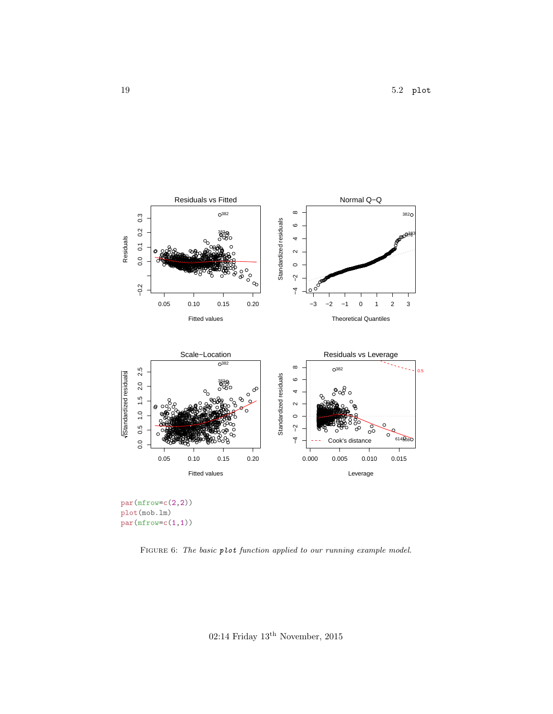<span id="page-18-0"></span>

FIGURE 6: The basic plot function applied to our running example model.

02:14 Friday  $13^{\rm th}$  November, 2015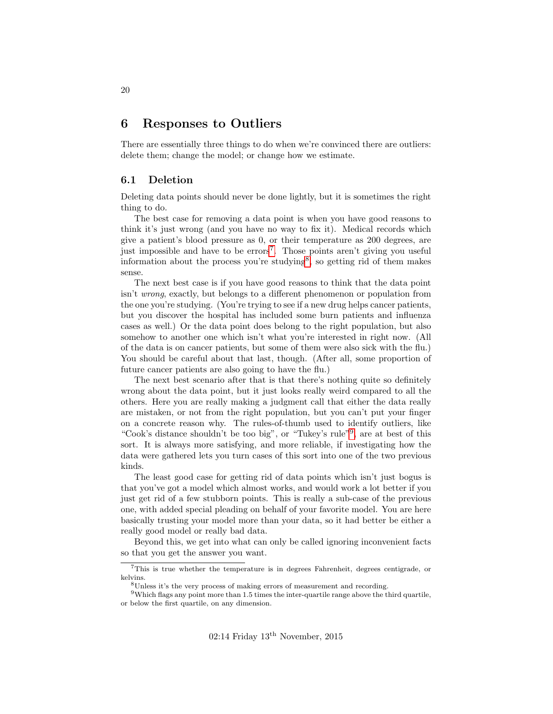## <span id="page-19-0"></span>6 Responses to Outliers

There are essentially three things to do when we're convinced there are outliers: delete them; change the model; or change how we estimate.

#### <span id="page-19-1"></span>6.1 Deletion

Deleting data points should never be done lightly, but it is sometimes the right thing to do.

The best case for removing a data point is when you have good reasons to think it's just wrong (and you have no way to fix it). Medical records which give a patient's blood pressure as 0, or their temperature as 200 degrees, are just impossible and have to be errors<sup>[7](#page-19-2)</sup>. Those points aren't giving you useful information about the process you're studying<sup>[8](#page-19-3)</sup>, so getting rid of them makes sense.

The next best case is if you have good reasons to think that the data point isn't wrong, exactly, but belongs to a different phenomenon or population from the one you're studying. (You're trying to see if a new drug helps cancer patients, but you discover the hospital has included some burn patients and influenza cases as well.) Or the data point does belong to the right population, but also somehow to another one which isn't what you're interested in right now. (All of the data is on cancer patients, but some of them were also sick with the flu.) You should be careful about that last, though. (After all, some proportion of future cancer patients are also going to have the flu.)

The next best scenario after that is that there's nothing quite so definitely wrong about the data point, but it just looks really weird compared to all the others. Here you are really making a judgment call that either the data really are mistaken, or not from the right population, but you can't put your finger on a concrete reason why. The rules-of-thumb used to identify outliers, like "Cook's distance shouldn't be too big", or "Tukey's rule"[9](#page-19-4) , are at best of this sort. It is always more satisfying, and more reliable, if investigating how the data were gathered lets you turn cases of this sort into one of the two previous kinds.

The least good case for getting rid of data points which isn't just bogus is that you've got a model which almost works, and would work a lot better if you just get rid of a few stubborn points. This is really a sub-case of the previous one, with added special pleading on behalf of your favorite model. You are here basically trusting your model more than your data, so it had better be either a really good model or really bad data.

Beyond this, we get into what can only be called ignoring inconvenient facts so that you get the answer you want.

<span id="page-19-2"></span><sup>7</sup>This is true whether the temperature is in degrees Fahrenheit, degrees centigrade, or kelvins.

<span id="page-19-4"></span><span id="page-19-3"></span><sup>&</sup>lt;sup>8</sup>Unless it's the very process of making errors of measurement and recording.

<sup>&</sup>lt;sup>9</sup>Which flags any point more than 1.5 times the inter-quartile range above the third quartile, or below the first quartile, on any dimension.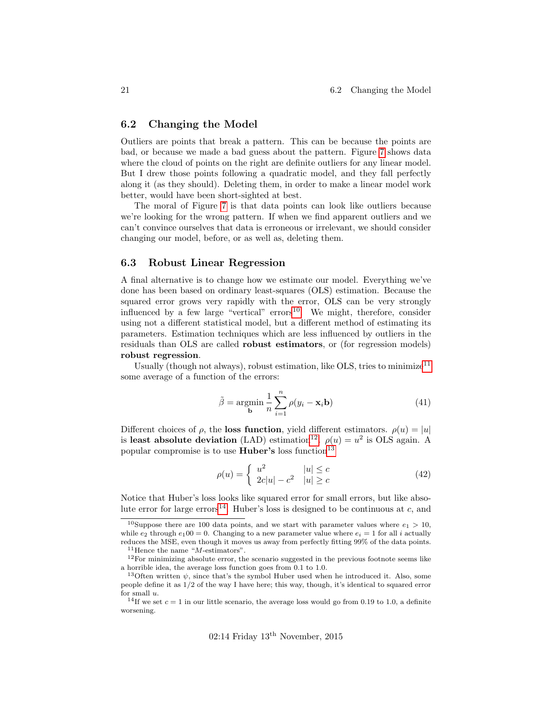#### <span id="page-20-0"></span>6.2 Changing the Model

Outliers are points that break a pattern. This can be because the points are bad, or because we made a bad guess about the pattern. Figure [7](#page-21-0) shows data where the cloud of points on the right are definite outliers for any linear model. But I drew those points following a quadratic model, and they fall perfectly along it (as they should). Deleting them, in order to make a linear model work better, would have been short-sighted at best.

The moral of Figure [7](#page-21-0) is that data points can look like outliers because we're looking for the wrong pattern. If when we find apparent outliers and we can't convince ourselves that data is erroneous or irrelevant, we should consider changing our model, before, or as well as, deleting them.

#### <span id="page-20-1"></span>6.3 Robust Linear Regression

A final alternative is to change how we estimate our model. Everything we've done has been based on ordinary least-squares (OLS) estimation. Because the squared error grows very rapidly with the error, OLS can be very strongly influenced by a few large "vertical" errors<sup>[10](#page-20-2)</sup>. We might, therefore, consider using not a different statistical model, but a different method of estimating its parameters. Estimation techniques which are less influenced by outliers in the residuals than OLS are called robust estimators, or (for regression models) robust regression.

Usually (though not always), robust estimation, like OLS, tries to minimize<sup>[11](#page-20-3)</sup> some average of a function of the errors:

$$
\tilde{\beta} = \underset{\mathbf{b}}{\operatorname{argmin}} \frac{1}{n} \sum_{i=1}^{n} \rho(y_i - \mathbf{x}_i \mathbf{b})
$$
\n(41)

Different choices of  $\rho$ , the **loss function**, yield different estimators.  $\rho(u) = |u|$ is least absolute deviation (LAD) estimation<sup>[12](#page-20-4)</sup>.  $\rho(u) = u^2$  is OLS again. A popular compromise is to use **Huber's** loss function<sup>[13](#page-20-5)</sup>

$$
\rho(u) = \begin{cases} u^2 & |u| \le c \\ 2c|u| - c^2 & |u| \ge c \end{cases} \tag{42}
$$

Notice that Huber's loss looks like squared error for small errors, but like abso-lute error for large errors<sup>[14](#page-20-6)</sup>. Huber's loss is designed to be continuous at c, and

<span id="page-20-2"></span><sup>&</sup>lt;sup>10</sup>Suppose there are 100 data points, and we start with parameter values where  $e_1 > 10$ , while  $e_2$  through  $e_100 = 0$ . Changing to a new parameter value where  $e_i = 1$  for all i actually reduces the MSE, even though it moves us away from perfectly fitting 99% of the data points.

<span id="page-20-4"></span><span id="page-20-3"></span> $11$  Hence the name "*M*-estimators".

 $12$ For minimizing absolute error, the scenario suggested in the previous footnote seems like a horrible idea, the average loss function goes from 0.1 to 1.0.

<span id="page-20-5"></span><sup>&</sup>lt;sup>13</sup>Often written  $\psi$ , since that's the symbol Huber used when he introduced it. Also, some people define it as 1/2 of the way I have here; this way, though, it's identical to squared error for small  $u$ .

<span id="page-20-6"></span><sup>&</sup>lt;sup>14</sup>If we set  $c = 1$  in our little scenario, the average loss would go from 0.19 to 1.0, a definite worsening.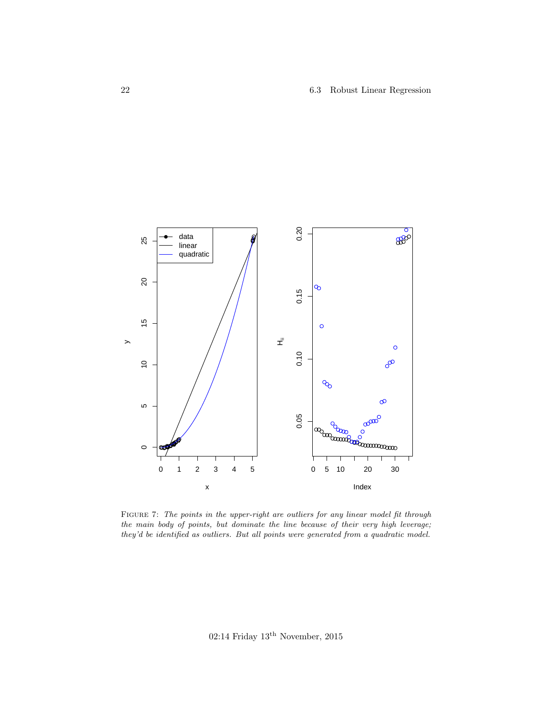<span id="page-21-0"></span>

FIGURE 7: The points in the upper-right are outliers for any linear model fit through the main body of points, but dominate the line because of their very high leverage; they'd be identified as outliers. But all points were generated from a quadratic model.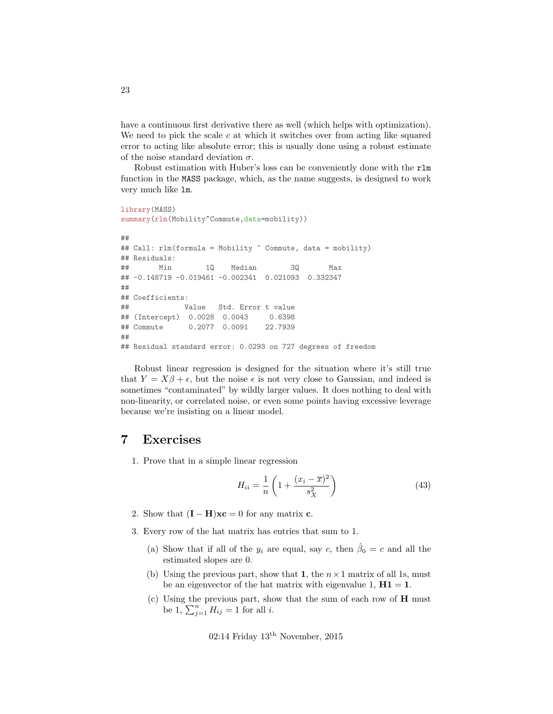have a continuous first derivative there as well (which helps with optimization). We need to pick the scale c at which it switches over from acting like squared error to acting like absolute error; this is usually done using a robust estimate of the noise standard deviation  $\sigma$ .

Robust estimation with Huber's loss can be conveniently done with the rlm function in the MASS package, which, as the name suggests, is designed to work very much like lm.

```
library(MASS)
summary(rlm(Mobility<sup>~</sup>Commute,data=mobility))
##
## Call: rlm(formula = Mobility ~ Commute, data = mobility)
## Residuals:
## Min 1Q Median 3Q Max
## -0.148719 -0.019461 -0.002341 0.021093 0.332347
##
## Coefficients:
## Value Std. Error t value
## (Intercept) 0.0028 0.0043 0.6398
## Commute 0.2077 0.0091 22.7939
##
## Residual standard error: 0.0293 on 727 degrees of freedom
```
Robust linear regression is designed for the situation where it's still true that  $Y = X\beta + \epsilon$ , but the noise  $\epsilon$  is not very close to Gaussian, and indeed is sometimes "contaminated" by wildly larger values. It does nothing to deal with non-linearity, or correlated noise, or even some points having excessive leverage because we're insisting on a linear model.

## <span id="page-22-0"></span>7 Exercises

<span id="page-22-1"></span>1. Prove that in a simple linear regression

$$
H_{ii} = \frac{1}{n} \left( 1 + \frac{(x_i - \overline{x})^2}{s_X^2} \right)
$$
 (43)

- <span id="page-22-2"></span>2. Show that  $(I - H)x**c** = 0$  for any matrix **c**.
- <span id="page-22-3"></span>3. Every row of the hat matrix has entries that sum to 1.
	- (a) Show that if all of the  $y_i$  are equal, say c, then  $\hat{\beta}_0 = c$  and all the estimated slopes are 0.
	- (b) Using the previous part, show that 1, the  $n \times 1$  matrix of all 1s, must be an eigenvector of the hat matrix with eigenvalue 1,  $H1 = 1$ .
	- (c) Using the previous part, show that the sum of each row of H must be  $1, \sum_{j=1}^{n} H_{ij} = 1$  for all i.

02:14 Friday  $13^{\text{th}}$  November, 2015

23